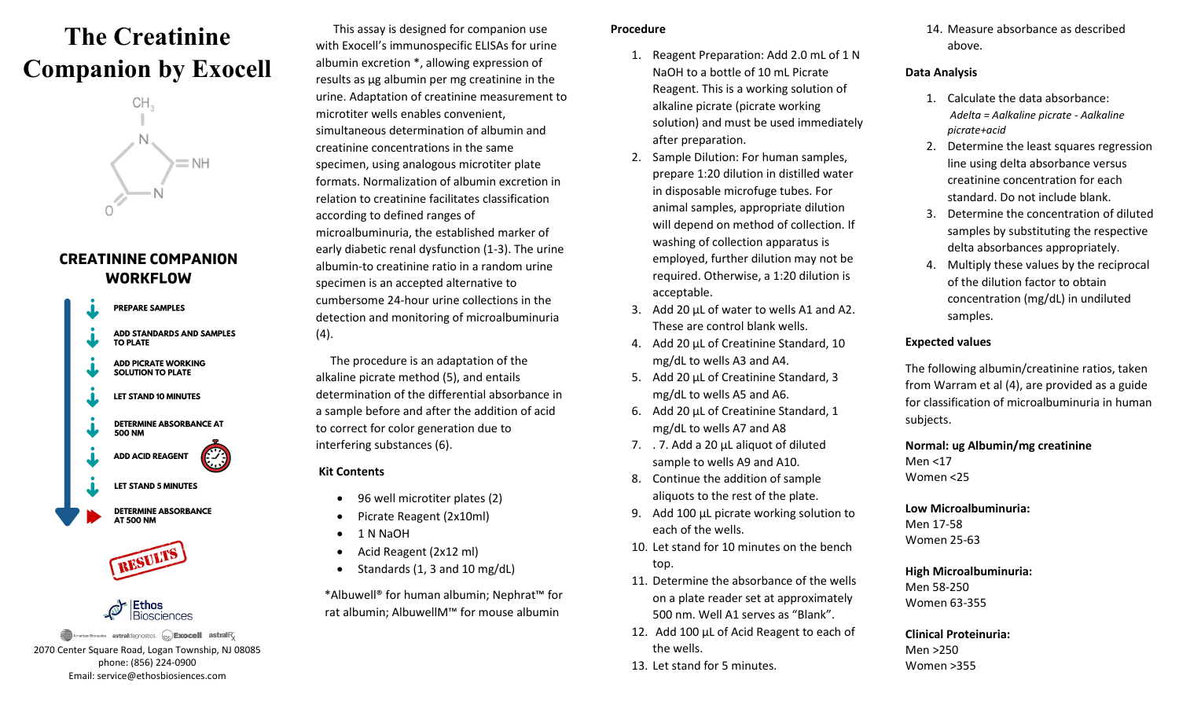# **The Creatinine Companion by Exocell**



# **CREATININE COMPANION WORKFLOW**





Ethos Biosciences

**American Bionostics astral**diagnostics  $\left(\frac{1}{65\sqrt{15}}\right)$ **Exocell astral**R<sub>*s*</sub> 2070 Center Square Road, Logan Township, NJ 08085 phone: (856) 224-0900 Email: service@ethosbiosiences.com

 This assay is designed for companion use with Exocell's immunospecific ELISAs for urine albumin excretion \*, allowing expression of results as µg albumin per mg creatinine in the urine. Adaptation of creatinine measurement to microtiter wells enables convenient, simultaneous determination of albumin and creatinine concentrations in the same specimen, using analogous microtiter plate formats. Normalization of albumin excretion in relation to creatinine facilitates classification according to defined ranges of microalbuminuria, the established marker of early diabetic renal dysfunction (1-3). The urine albumin-to creatinine ratio in a random urine specimen is an accepted alternative to cumbersome 24-hour urine collections in the detection and monitoring of microalbuminuria  $(4).$ 

 The procedure is an adaptation of the alkaline picrate method (5), and entails determination of the differential absorbance in a sample before and after the addition of acid to correct for color generation due to interfering substances (6).

## **Kit Contents**

- 96 well microtiter plates (2)
- Picrate Reagent (2x10ml)
- 1 N NaOH
- Acid Reagent (2x12 ml)
- Standards (1, 3 and 10 mg/dL)

 \*Albuwell® for human albumin; Nephrat™ for rat albumin; AlbuwellM™ for mouse albumin

#### **Procedure**

- 1. Reagent Preparation: Add 2.0 mL of 1 N NaOH to a bottle of 10 mL Picrate Reagent. This is a working solution of alkaline picrate (picrate working solution) and must be used immediately after preparation.
- 2. Sample Dilution: For human samples, prepare 1:20 dilution in distilled water in disposable microfuge tubes. For animal samples, appropriate dilution will depend on method of collection. If washing of collection apparatus is employed, further dilution may not be required. Otherwise, a 1:20 dilution is acceptable.
- 3. Add 20 µL of water to wells A1 and A2. These are control blank wells.
- 4. Add 20 µL of Creatinine Standard, 10 mg/dL to wells A3 and A4.
- 5. Add 20 µL of Creatinine Standard, 3 mg/dL to wells A5 and A6.
- 6. Add 20 µL of Creatinine Standard, 1 mg/dL to wells A7 and A8
- 7. . 7. Add a 20 µL aliquot of diluted sample to wells A9 and A10.
- 8. Continue the addition of sample aliquots to the rest of the plate.
- 9. Add 100 µL picrate working solution to each of the wells.
- 10. Let stand for 10 minutes on the bench top.
- 11. Determine the absorbance of the wells on a plate reader set at approximately 500 nm. Well A1 serves as "Blank".
- 12. Add 100 µL of Acid Reagent to each of the wells.
- 13. Let stand for 5 minutes.

14. Measure absorbance as described above.

#### **Data Analysis**

- 1. Calculate the data absorbance:  *Adelta = Aalkaline picrate - Aalkaline picrate+acid*
- 2. Determine the least squares regression line using delta absorbance versus creatinine concentration for each standard. Do not include blank.
- 3. Determine the concentration of diluted samples by substituting the respective delta absorbances appropriately.
- 4. Multiply these values by the reciprocal of the dilution factor to obtain concentration (mg/dL) in undiluted samples.

#### **Expected values**

The following albumin/creatinine ratios, taken from Warram et al (4), are provided as a guide for classification of microalbuminuria in human subjects.

**Normal: ug Albumin/mg creatinine**  Men <17 Women <25

# **Low Microalbuminuria:**  Men 17-58

Women 25-63

## **High Microalbuminuria:**  Men 58-250

Women 63-355

**Clinical Proteinuria:**  Men >250 Women >355